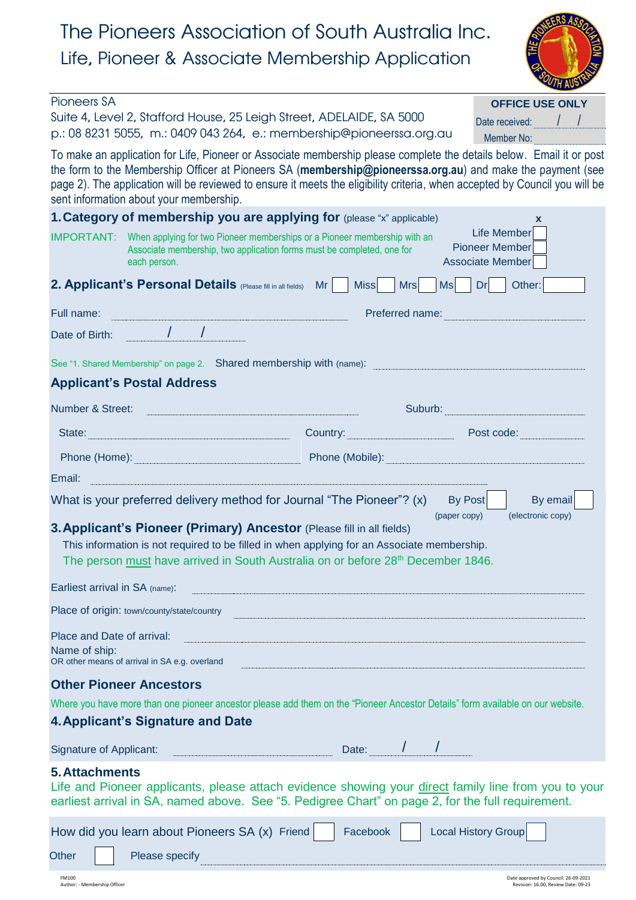# The Pioneers Association of South Australia Inc. Life, Pioneer & Associate Membership Application



| <b>Pioneers SA</b>                                                                                                                                                                                                                                                                                                                                                                                           | <b>OFFICE USE ONLY</b>                                                 |
|--------------------------------------------------------------------------------------------------------------------------------------------------------------------------------------------------------------------------------------------------------------------------------------------------------------------------------------------------------------------------------------------------------------|------------------------------------------------------------------------|
| Suite 4, Level 2, Stafford House, 25 Leigh Street, ADELAIDE, SA 5000<br>p.: 08 8231 5055, m.: 0409 043 264, e.: membership@pioneerssa.org.au                                                                                                                                                                                                                                                                 | Date received:<br>Member No:                                           |
| To make an application for Life, Pioneer or Associate membership please complete the details below. Email it or post<br>the form to the Membership Officer at Pioneers SA (membership@pioneerssa.org.au) and make the payment (see<br>page 2). The application will be reviewed to ensure it meets the eligibility criteria, when accepted by Council you will be<br>sent information about your membership. |                                                                        |
| 1. Category of membership you are applying for (please "x" applicable)                                                                                                                                                                                                                                                                                                                                       | $\mathbf{x}$                                                           |
| IMPORTANT: When applying for two Pioneer memberships or a Pioneer membership with an<br>Associate membership, two application forms must be completed, one for<br>each person.                                                                                                                                                                                                                               | <b>Life Member</b><br><b>Pioneer Member</b><br><b>Associate Member</b> |
| 2. Applicant's Personal Details (Please fill in all fields)<br><b>Mr</b><br><b>Miss</b><br><b>Mrs</b>                                                                                                                                                                                                                                                                                                        | <b>Ms</b><br>Other:<br>Dr                                              |
| Full name:<br>Preferred name:                                                                                                                                                                                                                                                                                                                                                                                |                                                                        |
| Date of Birth: / /                                                                                                                                                                                                                                                                                                                                                                                           |                                                                        |
| See "1. Shared Membership" on page 2. Shared membership with (name):                                                                                                                                                                                                                                                                                                                                         |                                                                        |
| <b>Applicant's Postal Address</b>                                                                                                                                                                                                                                                                                                                                                                            |                                                                        |
| Number & Street:                                                                                                                                                                                                                                                                                                                                                                                             | Suburb: www.communications.com                                         |
| State:                                                                                                                                                                                                                                                                                                                                                                                                       | <b>Country:</b> Post code:                                             |
| Phone (Mobile):                                                                                                                                                                                                                                                                                                                                                                                              |                                                                        |
| Phone (Home): Network and Shanks and Shanks and Shanks and Shanks and Shanks and Shanks and Shanks and Shanks and Shanks and Shanks and Shanks and Shanks and Shanks and Shanks and Shanks and Shanks and Shanks and Shanks an<br>Email:                                                                                                                                                                     |                                                                        |
| What is your preferred delivery method for Journal "The Pioneer"? (x)                                                                                                                                                                                                                                                                                                                                        | By email<br><b>By Post</b>                                             |
| 3. Applicant's Pioneer (Primary) Ancestor (Please fill in all fields)<br>This information is not required to be filled in when applying for an Associate membership.<br>The person must have arrived in South Australia on or before 28 <sup>th</sup> December 1846.                                                                                                                                         | (electronic copy)<br>(paper copy)                                      |
| Earliest arrival in SA (name):                                                                                                                                                                                                                                                                                                                                                                               |                                                                        |
| Place of origin: town/county/state/country                                                                                                                                                                                                                                                                                                                                                                   |                                                                        |
| Place and Date of arrival:<br>Name of ship:<br>OR other means of arrival in SA e.g. overland                                                                                                                                                                                                                                                                                                                 |                                                                        |
| <b>Other Pioneer Ancestors</b>                                                                                                                                                                                                                                                                                                                                                                               |                                                                        |
| Where you have more than one pioneer ancestor please add them on the "Pioneer Ancestor Details" form available on our website.<br>4. Applicant's Signature and Date                                                                                                                                                                                                                                          |                                                                        |
| Date: $\frac{1}{\sqrt{1-\frac{1}{2}}}$<br><b>Signature of Applicant:</b>                                                                                                                                                                                                                                                                                                                                     |                                                                        |
| <b>5. Attachments</b><br>Life and Pioneer applicants, please attach evidence showing your direct family line from you to your<br>earliest arrival in SA, named above. See "5. Pedigree Chart" on page 2, for the full requirement.                                                                                                                                                                           |                                                                        |
| How did you learn about Pioneers SA (x) Friend<br>Facebook                                                                                                                                                                                                                                                                                                                                                   | Local History Group                                                    |

Other | Please specify